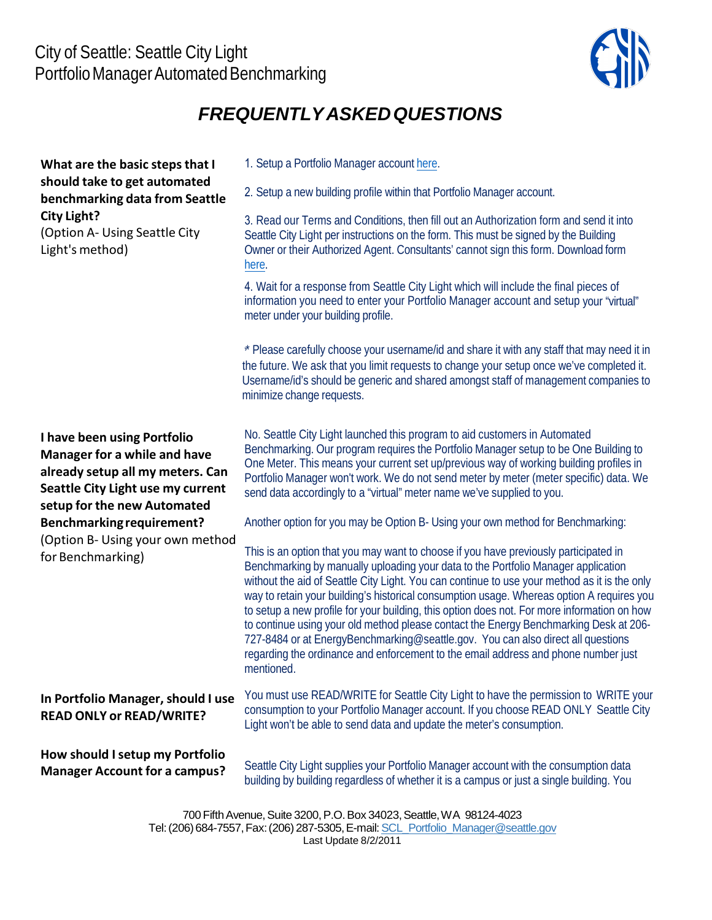

## *FREQUENTLYASKEDQUESTIONS*

## \* \* Please carefully choose your username/id and share it with any staff that may need it in **What are the basic steps that I should take to get automated benchmarking data from Seattle City Light?** (Option A‐ Using Seattle City Light's method) **I have been using Portfolio Manager for a while and have already setup all my meters. Can Seattle City Light use my current setup for the new Automated Benchmarkingrequirement?** (Option B‐ Using your own method for Benchmarking) **In Portfolio Manager, should I use READ ONLY or READ/WRITE? How should I setup my Portfolio Manager Account for a campus?** 1. Setup a Portfolio Manager account [here](https://portfoliomanager.energystar.gov/pm/signup). 2. Setup a new building profile within that Portfolio Manager account. 3. Read our Terms and Conditions, then fill out an Authorization form and send it into Seattle City Light per instructions on the form. This must be signed by the Building Owner or their Authorized Agent. Consultants' cannot sign this form. Download form [here.](https://www.seattle.gov/city-light/business-solutions/business-billing-and-account-information/building-energy-consumption-data) 4. Wait for a response from Seattle City Light which will include the final pieces of information you need to enter your Portfolio Manager account and setup your "virtual" meter under your building profile. the future. We ask that you limit requests to change your setup once we've completed it. Username/id's should be generic and shared amongst staff of management companies to minimize change requests. No. Seattle City Light launched this program to aid customers in Automated Benchmarking. Our program requires the Portfolio Manager setup to be One Building to One Meter. This means your current set up/previous way of working building profiles in Portfolio Manager won't work. We do not send meter by meter (meter specific) data. We send data accordingly to a "virtual" meter name we've supplied to you. Another option for you may be Option B- Using your own method for Benchmarking: This is an option that you may want to choose if you have previously participated in Benchmarking by manually uploading your data to the Portfolio Manager application without the aid of Seattle City Light. You can continue to use your method as it is the only way to retain your building's historical consumption usage. Whereas option A requires you to setup a new profile for your building, this option does not. For more information on how to continue using your old method please contact the Energy Benchmarking Desk at 206- 727-8484 or at [EnergyBenchmarking@seattle.gov.](mailto:EnergyBenchmarking@seattle.gov) You can also direct all questions regarding the ordinance and enforcement to the email address and phone number just mentioned. You must use READ/WRITE for Seattle City Light to have the permission to WRITE your consumption to your Portfolio Manager account. If you choose READ ONLY Seattle City Light won't be able to send data and update the meter's consumption. Seattle City Light supplies your Portfolio Manager account with the consumption data building by building regardless of whether it is a campus or just a single building. You

700 Fifth Avenue, Suite 3200, P.O. Box 34023, Seattle, WA 98124-4023 Tel: (206) 684-7557, Fax: (206) 287-5305, E-mail: SCL\_Portfolio\_Manager@seattle.gov Last Update 8/2/2011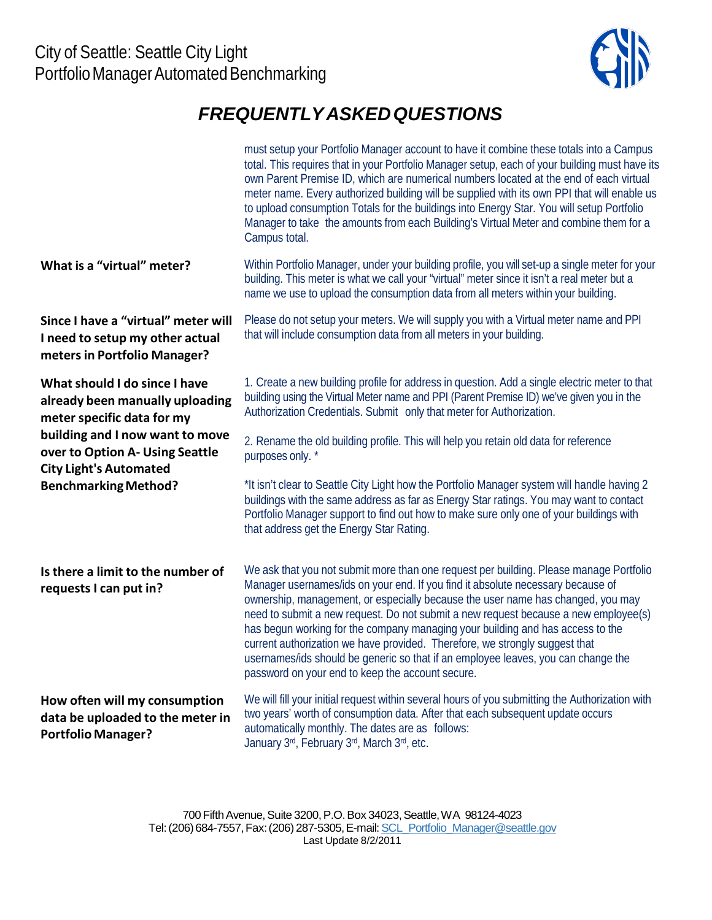

## *FREQUENTLYASKEDQUESTIONS*

|                                                                                                        | must setup your Portfolio Manager account to have it combine these totals into a Campus<br>total. This requires that in your Portfolio Manager setup, each of your building must have its<br>own Parent Premise ID, which are numerical numbers located at the end of each virtual<br>meter name. Every authorized building will be supplied with its own PPI that will enable us<br>to upload consumption Totals for the buildings into Energy Star. You will setup Portfolio<br>Manager to take the amounts from each Building's Virtual Meter and combine them for a<br>Campus total.                                                                      |
|--------------------------------------------------------------------------------------------------------|---------------------------------------------------------------------------------------------------------------------------------------------------------------------------------------------------------------------------------------------------------------------------------------------------------------------------------------------------------------------------------------------------------------------------------------------------------------------------------------------------------------------------------------------------------------------------------------------------------------------------------------------------------------|
| What is a "virtual" meter?                                                                             | Within Portfolio Manager, under your building profile, you will set-up a single meter for your<br>building. This meter is what we call your "virtual" meter since it isn't a real meter but a<br>name we use to upload the consumption data from all meters within your building.                                                                                                                                                                                                                                                                                                                                                                             |
| Since I have a "virtual" meter will<br>I need to setup my other actual<br>meters in Portfolio Manager? | Please do not setup your meters. We will supply you with a Virtual meter name and PPI<br>that will include consumption data from all meters in your building.                                                                                                                                                                                                                                                                                                                                                                                                                                                                                                 |
| What should I do since I have<br>already been manually uploading<br>meter specific data for my         | 1. Create a new building profile for address in question. Add a single electric meter to that<br>building using the Virtual Meter name and PPI (Parent Premise ID) we've given you in the<br>Authorization Credentials. Submit only that meter for Authorization.                                                                                                                                                                                                                                                                                                                                                                                             |
| building and I now want to move<br>over to Option A- Using Seattle<br><b>City Light's Automated</b>    | 2. Rename the old building profile. This will help you retain old data for reference<br>purposes only. *                                                                                                                                                                                                                                                                                                                                                                                                                                                                                                                                                      |
| <b>Benchmarking Method?</b>                                                                            | *It isn't clear to Seattle City Light how the Portfolio Manager system will handle having 2<br>buildings with the same address as far as Energy Star ratings. You may want to contact<br>Portfolio Manager support to find out how to make sure only one of your buildings with<br>that address get the Energy Star Rating.                                                                                                                                                                                                                                                                                                                                   |
| Is there a limit to the number of<br>requests I can put in?                                            | We ask that you not submit more than one request per building. Please manage Portfolio<br>Manager usernames/ids on your end. If you find it absolute necessary because of<br>ownership, management, or especially because the user name has changed, you may<br>need to submit a new request. Do not submit a new request because a new employee(s)<br>has begun working for the company managing your building and has access to the<br>current authorization we have provided. Therefore, we strongly suggest that<br>usernames/ids should be generic so that if an employee leaves, you can change the<br>password on your end to keep the account secure. |
| How often will my consumption<br>data be uploaded to the meter in<br><b>Portfolio Manager?</b>         | We will fill your initial request within several hours of you submitting the Authorization with<br>two years' worth of consumption data. After that each subsequent update occurs<br>automatically monthly. The dates are as follows:<br>January 3rd, February 3rd, March 3rd, etc.                                                                                                                                                                                                                                                                                                                                                                           |